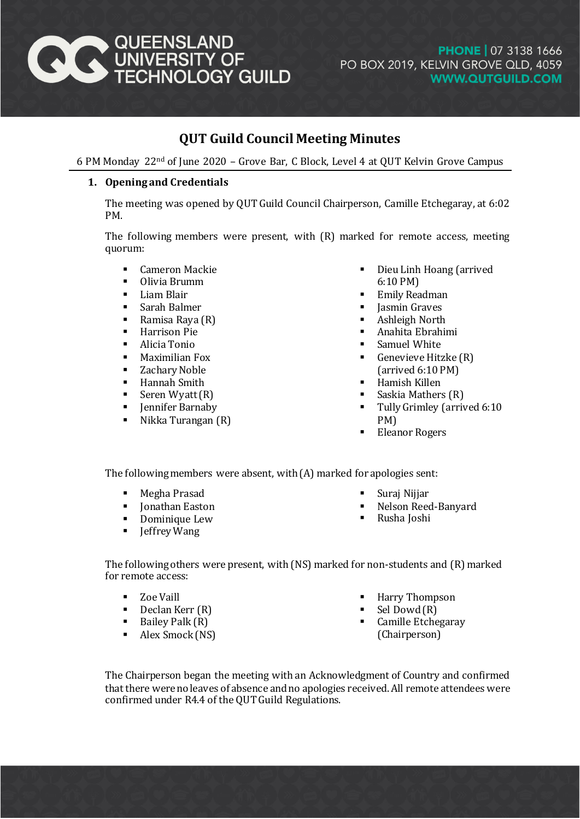

# **PHONE | 07 3138 1666** PO BOX 2019, KELVIN GROVE QLD, 4059 **WWW.QUTGUILD.COM**

# **QUT Guild Council Meeting Minutes**

6 PM Monday 22nd of June 2020 – Grove Bar, C Block, Level 4 at QUT Kelvin Grove Campus

# **1. Opening and Credentials**

The meeting was opened by QUT Guild Council Chairperson, Camille Etchegaray, at 6:02 PM.

The following members were present, with (R) marked for remote access, meeting quorum:

- **E** Cameron Mackie
- Olivia Brumm
- **Liam Blair**
- Sarah Balmer
- Ramisa Raya (R)
- **Harrison Pie**
- **-** Alicia Tonio
- **Maximilian Fox**
- **EXALLE 2** Zachary Noble
- **Hannah Smith**
- Seren Wyatt $(R)$
- **Fig.** Jennifer Barnaby
- $\blacksquare$  Nikka Turangan  $(R)$
- Dieu Linh Hoang (arrived 6:10 PM)
- Emily Readman
- Jasmin Graves
- Ashleigh North
- Anahita Ebrahimi
- Samuel White
- Genevieve Hitzke (R) (arrived 6:10 PM)
- Hamish Killen
- Saskia Mathers (R)
- Tully Grimley (arrived 6:10 PM)
- Eleanor Rogers

The following members were absent, with (A) marked for apologies sent:

- Megha Prasad
- Jonathan Easton
- **•** Dominique Lew
- **I** Jeffrey Wang
- Suraj Nijjar
- Nelson Reed-Banyard
- Rusha Joshi

The following others were present, with (NS) marked for non-students and (R) marked for remote access:

- Zoe Vaill
- $\blacksquare$  Declan Kerr  $(R)$
- $\blacksquare$  Bailey Palk  $(R)$
- Alex Smock (NS)
- Harry Thompson
- Sel Dowd (R)
- **Camille Etchegaray** (Chairperson)

The Chairperson began the meeting with an Acknowledgment of Country and confirmed that there were no leaves of absence and no apologies received. All remote attendees were confirmed under R4.4 of the QUT Guild Regulations.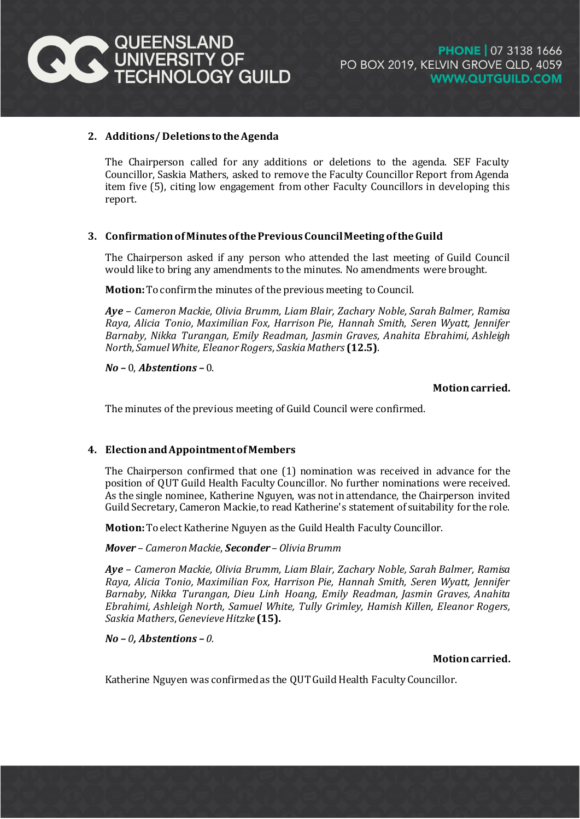

### **2. Additions/ Deletions to the Agenda**

The Chairperson called for any additions or deletions to the agenda. SEF Faculty Councillor, Saskia Mathers, asked to remove the Faculty Councillor Report from Agenda item five (5), citing low engagement from other Faculty Councillors in developing this report.

## **3. Confirmation of Minutes of the Previous Council Meeting of the Guild**

The Chairperson asked if any person who attended the last meeting of Guild Council would like to bring any amendments to the minutes. No amendments were brought.

**Motion:**To confirmthe minutes of the previous meeting to Council.

*Aye* – *Cameron Mackie, Olivia Brumm, Liam Blair, Zachary Noble, Sarah Balmer, Ramisa Raya, Alicia Tonio, Maximilian Fox, Harrison Pie, Hannah Smith, Seren Wyatt, Jennifer Barnaby, Nikka Turangan, Emily Readman, Jasmin Graves, Anahita Ebrahimi, Ashleigh North, Samuel White, Eleanor Rogers, Saskia Mathers* **(12.5)**.

*No –* 0, *Abstentions –* 0.

**Motion carried.**

The minutes of the previous meeting of Guild Council were confirmed.

#### **4. Election and Appointment of Members**

The Chairperson confirmed that one (1) nomination was received in advance for the position of QUT Guild Health Faculty Councillor. No further nominations were received. As the single nominee, Katherine Nguyen, was not in attendance, the Chairperson invited Guild Secretary, Cameron Mackie, to read Katherine's statement of suitability for the role.

**Motion:**To elect Katherine Nguyen as the Guild Health Faculty Councillor.

*Mover* – *Cameron Mackie*, *Seconder* – *Olivia Brumm*

*Aye* – *Cameron Mackie, Olivia Brumm, Liam Blair, Zachary Noble, Sarah Balmer, Ramisa Raya, Alicia Tonio, Maximilian Fox, Harrison Pie, Hannah Smith, Seren Wyatt, Jennifer Barnaby, Nikka Turangan, Dieu Linh Hoang, Emily Readman, Jasmin Graves, Anahita Ebrahimi, Ashleigh North, Samuel White, Tully Grimley, Hamish Killen, Eleanor Rogers, Saskia Mathers*, *Genevieve Hitzke* **(15).**

#### *No – 0, Abstentions – 0.*

#### **Motion carried.**

Katherine Nguyen was confirmed as the QUT Guild Health Faculty Councillor.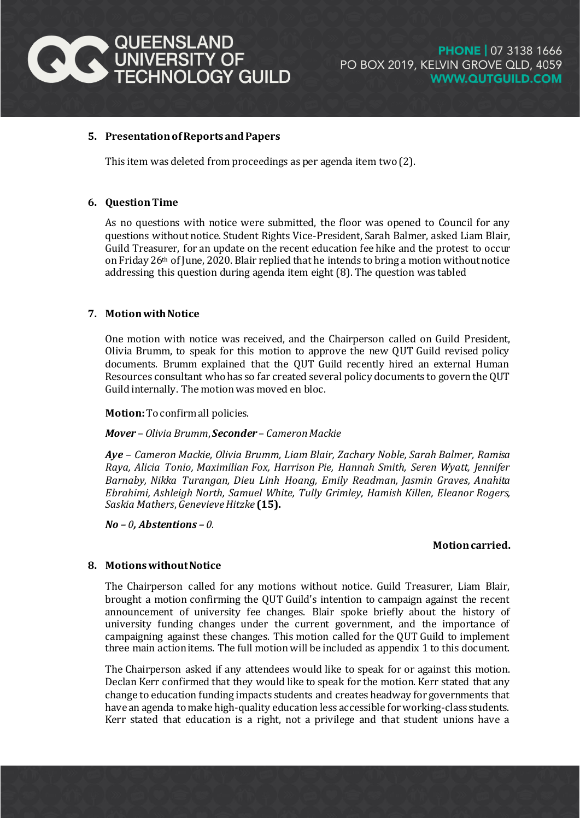

#### **5. Presentation of Reports and Papers**

This item was deleted from proceedings as per agenda item two (2).

#### **6. Question Time**

As no questions with notice were submitted, the floor was opened to Council for any questions without notice. Student Rights Vice-President, Sarah Balmer, asked Liam Blair, Guild Treasurer, for an update on the recent education fee hike and the protest to occur on Friday 26th of June, 2020. Blair replied that he intends to bring a motion without notice addressing this question during agenda item eight (8). The question was tabled

#### **7. Motionwith Notice**

One motion with notice was received, and the Chairperson called on Guild President, Olivia Brumm, to speak for this motion to approve the new QUT Guild revised policy documents. Brumm explained that the QUT Guild recently hired an external Human Resources consultant who has so far created several policy documents to govern the QUT Guild internally. The motion was moved en bloc.

**Motion:**To confirm all policies.

*Mover* – *Olivia Brumm*, *Seconder* – *Cameron Mackie*

*Aye* – *Cameron Mackie, Olivia Brumm, Liam Blair, Zachary Noble, Sarah Balmer, Ramisa Raya, Alicia Tonio, Maximilian Fox, Harrison Pie, Hannah Smith, Seren Wyatt, Jennifer Barnaby, Nikka Turangan, Dieu Linh Hoang, Emily Readman, Jasmin Graves, Anahita Ebrahimi, Ashleigh North, Samuel White, Tully Grimley, Hamish Killen, Eleanor Rogers, Saskia Mathers*, *Genevieve Hitzke* **(15).**

*No – 0, Abstentions – 0.*

#### **Motion carried.**

#### **8. Motions without Notice**

The Chairperson called for any motions without notice. Guild Treasurer, Liam Blair, brought a motion confirming the QUT Guild's intention to campaign against the recent announcement of university fee changes. Blair spoke briefly about the history of university funding changes under the current government, and the importance of campaigning against these changes. This motion called for the QUT Guild to implement three main action items. The full motion will be included as appendix 1 to this document.

The Chairperson asked if any attendees would like to speak for or against this motion. Declan Kerr confirmed that they would like to speak for the motion. Kerr stated that any change to education funding impacts students and creates headway for governments that have an agenda to make high-quality education less accessible for working-class students. Kerr stated that education is a right, not a privilege and that student unions have a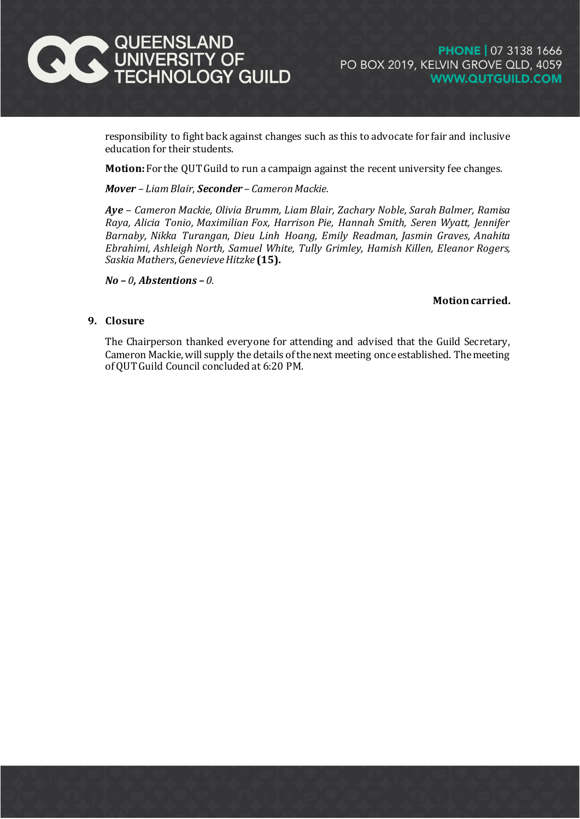

responsibility to fight back against changes such as this to advocate for fair and inclusive education for their students.

**Motion:**For the QUT Guild to run a campaign against the recent university fee changes.

*Mover – Liam Blair, Seconder – Cameron Mackie.* 

*Aye* – *Cameron Mackie, Olivia Brumm, Liam Blair, Zachary Noble, Sarah Balmer, Ramisa Raya, Alicia Tonio, Maximilian Fox, Harrison Pie, Hannah Smith, Seren Wyatt, Jennifer Barnaby, Nikka Turangan, Dieu Linh Hoang, Emily Readman, Jasmin Graves, Anahita Ebrahimi, Ashleigh North, Samuel White, Tully Grimley, Hamish Killen, Eleanor Rogers, Saskia Mathers*, *Genevieve Hitzke* **(15).**

*No – 0, Abstentions – 0.*

#### **Motion carried.**

#### **9. Closure**

The Chairperson thanked everyone for attending and advised that the Guild Secretary, Cameron Mackie, will supply the details of the next meeting once established. The meeting of QUT Guild Council concluded at 6:20 PM.